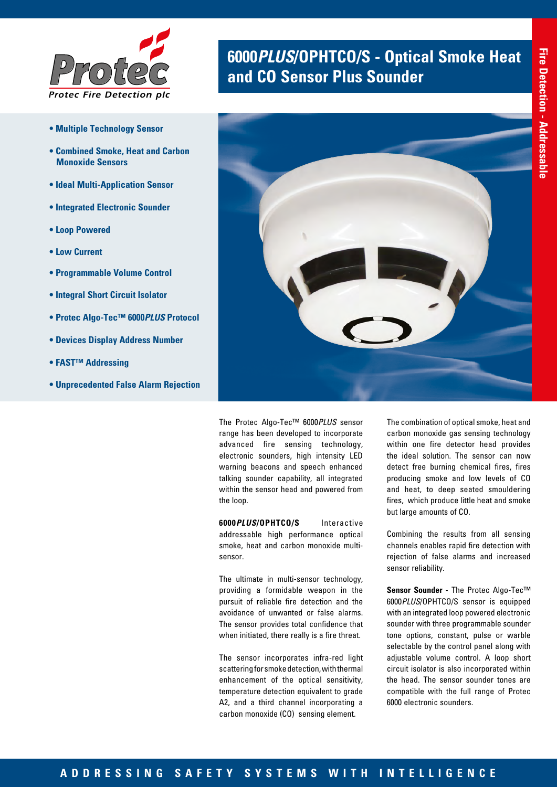

- **Multiple Technology Sensor**
- **Combined Smoke, Heat and Carbon Monoxide Sensors**
- **Ideal Multi-Application Sensor**
- **Integrated Electronic Sounder**
- **Loop Powered**
- **Low Current**
- **Programmable Volume Control**
- **Integral Short Circuit Isolator**
- **Protec Algo-Tec™ 6000***PLUS* **Protocol**
- **Devices Display Address Number**
- **FAST™ Addressing**
- **Unprecedented False Alarm Rejection**

# **6000 PLUS/OPHTCO/S - Optical Smoke Heat and CO Sensor Plus Sounder**



The Protec Algo-Tec™ 6000*PLUS* sensor range has been developed to incorporate advanced fire sensing technology, electronic sounders, high intensity LED warning beacons and speech enhanced talking sounder capability, all integrated within the sensor head and powered from the loop.

**6000***PLUS***/OPHTCO/S** Interactive addressable high performance optical smoke, heat and carbon monoxide multisensor.

The ultimate in multi-sensor technology, providing a formidable weapon in the pursuit of reliable fire detection and the avoidance of unwanted or false alarms. The sensor provides total confidence that when initiated, there really is a fire threat.

The sensor incorporates infra-red light scattering for smoke detection, with thermal enhancement of the optical sensitivity, temperature detection equivalent to grade A2, and a third channel incorporating a carbon monoxide (CO) sensing element.

The combination of optical smoke, heat and carbon monoxide gas sensing technology within one fire detector head provides the ideal solution. The sensor can now detect free burning chemical fires, fires producing smoke and low levels of CO and heat, to deep seated smouldering fires, which produce little heat and smoke but large amounts of CO.

Combining the results from all sensing channels enables rapid fire detection with rejection of false alarms and increased sensor reliability.

**Sensor Sounder** - The Protec Algo-Tec™ 6000*PLUS*/OPHTCO/S sensor is equipped with an integrated loop powered electronic sounder with three programmable sounder tone options, constant, pulse or warble selectable by the control panel along with adjustable volume control. A loop short circuit isolator is also incorporated within the head. The sensor sounder tones are compatible with the full range of Protec 6000 electronic sounders.